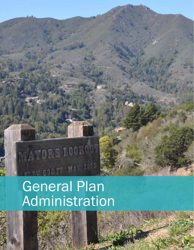# HEY COOPE MAY 2003 General Plan Administration

MAYOR'S LOOK OF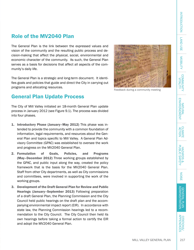# Role of the MV2040 Plan

The General Plan is the link between the expressed values and vision of the community and the resulting public process and decision-making that affect the physical, social, environmental and economic character of the community. As such, the General Plan serves as a basis for decisions that affect all aspects of the community's daily life.

The General Plan is a strategic and long-term document. It identifies goals and policies that guide and direct the City in carrying out programs and allocating resources.

# General Plan Update Process

The City of Mill Valley initiated an 18-month General Plan update process in January 2012 (see Figure 9.1). The process was divided into four phases.

- 1. Introductory Phase (January–May 2012) This phase was intended to provide the community with a common foundation of information, legal requirements, and resources about the General Plan and topics specific to Mill Valley. A General Plan Advisory Committee (GPAC) was established to oversee the work and progress on the MV2040 General Plan.
- 2. Formulation of Goals, Policies, and Programs (May–December 2012) Three working groups established by the GPAC, and public input along the way, created the policy framework that is the basis for the MV2040 General Plan. Staff from other City departments, as well as City commissions and committees, were involved in supporting the work of the working groups.
- 3. Development of the Draft General Plan for Review and Public Hearings (January–September 2013) Following preparation of a draft General Plan, the Planning Commission and the City Council held public hearings on the draft plan and the accompanying environmental impact report (EIR). In accordance with state law, the Planning Commission hearings led to a recommendation to the City Council. The City Council then held its own hearings before taking a formal action to certify the EIR and adopt the MV2040 General Plan.

Feedback during a community meeting

Citations/ Appendices

**CITATIONS/**<br>APPENDICES



**LAND USE** LAND USE

**MOBILITY** 

COMMUNITY<br>VITALITY

. . . . . . . . .

NATURAL ENVIRONEMENT

ACTION CLIMATE

NOISE COMMUNITY WAS DESTINGED ON THE COMMUNITY WAS COMMUNITY WAS ARRESTED WITH A PLAYARD SAFFITY WAS COMMUNITY WAS COMMUNITY WAS RELATED TO LOST THAN THAN ARRAY WAS COMMUNITY WAS RELATED TO THAN A PLAYARD SAFFITY WAS COMMU

HAZARDS &<br>PUBLIC SAFETY

NOISE

GENERAL PLAN ADMINISTRATION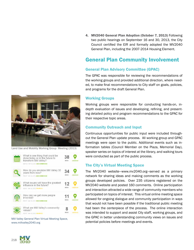4. MV2040 General Plan Adoption (October 7, 2013) Following two public hearings on September 16 and 30, 2013, the City Council certified the EIR and formally adopted the MV2040 General Plan, including the 2007-2014 Housing Element.

# General Plan Community Involvement

## General Plan Advisory Committee (GPAC)

The GPAC was responsible for reviewing the recommendations of the working groups and provided additional direction, where needed, to make final recommendations to City staff on goals, policies, and programs for the draft General Plan.

## Working Groups

Working groups were responsible for conducting hands-on, indepth evaluation of issues and developing, refining, and presenting detailed policy and program recommendations to the GPAC for their respective topic areas.

## Community Outreach and Input

Continuous opportunities for public input were included throughout the General Plan update process. All working group and GPAC meetings were open to the public. Additional events such as information tables (Council Member on the Plaza, Memorial Day), speaker series on topics of interest at the library, and walking tours were conducted as part of the public process.

# The City's Virtual Meeting Space

The MV2040 website—www.mv2040.org—served as a primary network for sharing ideas and making comments as the working groups developed policies. Over 235 citizens registered on the MV2040 website and posted 160 comments. Online participation and interaction attracted a wide range of community members who participated on topics of interest. This virtual online meeting space allowed for ongoing dialogue and community participation in ways that would not have been possible if the traditional public meeting had been the centerpiece of the process. The online interaction was intended to support and assist City staff, working groups, and the GPAC in better understanding community views on issues and potential policies before meetings and events.

Land Use and Mobility Working Group Meeting (2013)

| What is one thing that could be<br>done today or in the future to<br>transform Mill Valley?<br>WELD: NE 21, 3312 REASSINGTON | 38<br>前記まに         |  |
|------------------------------------------------------------------------------------------------------------------------------|--------------------|--|
| How do you envision Mill Valley 30<br>years from now?<br>FED OF LIGHTING 2012 AND ALCOHOL: 1                                 | 34<br><b>MIEAS</b> |  |
| What issues will have the greatest<br>influence in the future?<br>FENCIS - NAV DE 2012 PROFEERS                              | 12<br><b>IDEAS</b> |  |
| How can we get more people<br>involved?<br>ARREST LANSTIC 1813 MEASUREMENTS                                                  | 11<br>出来あら         |  |
| What are Mill Valley's community<br>values?<br>FED 67, NAV 10, 2012 PRIVINCES                                                | <b>BSCAS</b>       |  |
|                                                                                                                              |                    |  |

Mill Valley General Plan Virtual Meeting Space, www.millvalley2040.org



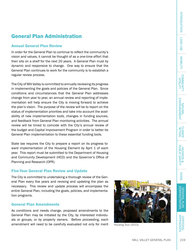# General Plan Administration

### Annual General Plan Review

In order for the General Plan to continue to reflect the community's vision and values, it cannot be thought of as a one-time effort that then sits on a shelf for the next 20 years. A General Plan must by dynamic and responsive to change. One way to ensure that the General Plan continues to work for the community is to establish a regular review process.

The City of Mill Valley is committed to annually reviewing its progress in implementing the goals and policies of the General Plan. Since conditions and circumstances that the General Plan addresses change from year to year, an annual review and reporting of implementation will help ensure the City is moving forward to achieve the plan's vision. The purpose of the review will be to report on the status of implementation priorities and take into account the availability of new implementation tools, changes in funding sources, and feedback from General Plan monitoring activities. The annual review will be timed to coincide with the City's annual review of the budget and Capital Improvement Program in order to better tie General Plan implementation to these essential funding tools.

State law requires the City to prepare a report on its progress toward implementation of the Housing Element by April 1 of each year. This report must be submitted to the Department of Housing and Community Development (HCD) and the Governor's Office of Planning and Research (OPR).

#### Five-Year General Plan Review and Update

The City is committed to undertaking a thorough review of the General Plan every five years and revising and updating the plan as necessary. This review and update process will encompass the entire General Plan, including the goals, policies, and implementation programs.

#### General Plan Amendments

As conditions and needs change, proposed amendments to the General Plan may be initiated by the City, by interested individuals or groups, or by property owners. Before proceeding, each amendment will need to be carefully evaluated not only for merit  $\frac{1}{\text{Houssing Tour (2013)}}$ 



MILL VALLEY GENERAL PLAN

INTRODUCTION

**INTRODUCTION** 

**LAND USE** LAND USE

. . . . . .

**MOBILITY** 

Citations/ Appendices

219

**CITATIONS/<br>APPENDICES**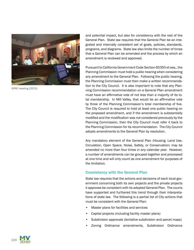

GPAC meeting (2013)

and potential impact, but also for consistency with the rest of the General Plan. State law requires that the General Plan be an integrated and internally consistent set of goals, policies, standards, programs, and diagrams. State law also limits the number of times that a General Plan can be amended and the process by which an amendment is reviewed and approved.

Pursuant to California Government Code Section 65350 et seq., the Planning Commission must hold a public hearing when considering any amendment to the General Plan. Following the public hearing, the Planning Commission must then make a written recommendation to the City Council. It is also important to note that any Planning Commission recommendation on a General Plan amendment must have an affirmative vote of not less than a majority of its total membership. In Mill Valley, that would be an affirmative vote by three of the Planning Commission's total membership of five. The City Council is required to hold at least one public hearing on the proposed amendment, and if the amendment is substantially modified and the modification was not considered previously by the Planning Commission, then the City Council must refer it back to the Planning Commission for its recommendation. The City Council adopts amendments to the General Plan by resolution.

Any mandatory element of the General Plan (Housing, Land Use, Circulation, Open Space, Noise, Safety, or Conservation) may be amended no more than four times in any calendar year. However, a number of amendments can be grouped together and processed at one time and will only count as one amendment for purposes of the limitation.

## Consistency with the General Plan

State law requires that the actions and decisions of each local government concerning both its own projects and the private projects it approves be consistent with its adopted General Plan. The courts have supported and furthered this trend through their interpretations of state law. The following is a partial list of City actions that must be consistent with the General Plan:

- Master plans for facilities and services
- Capital projects (including facility master plans)
- Subdivision approvals (tentative subdivision and parcel maps)
- Zoning Ordinance amendments, Subdivision Ordinance